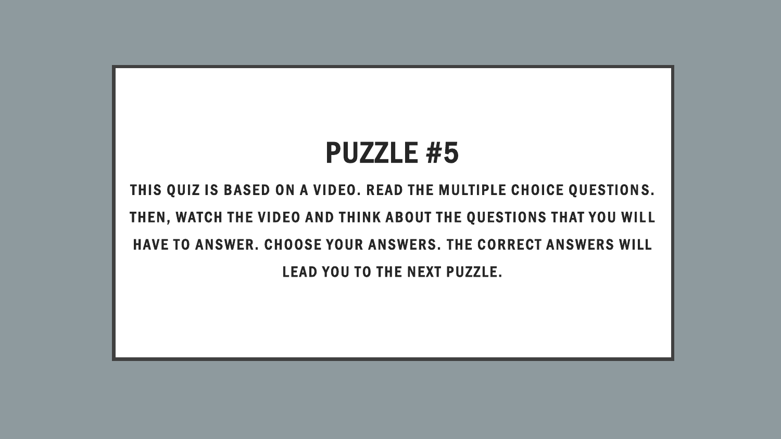# PUZZLE #5

THIS QUIZ IS BASED ON A VIDEO. READ THE MULTIPLE CHOICE QUESTIONS. THEN, WATCH THE VIDEO AND THINK ABOUT THE QUESTIONS THAT YOU WILL HAVE TO ANSWER. CHOOSE YOUR ANSWERS. THE CORRECT ANSWERS WILL LEAD YOU TO THE NEXT PUZZLE.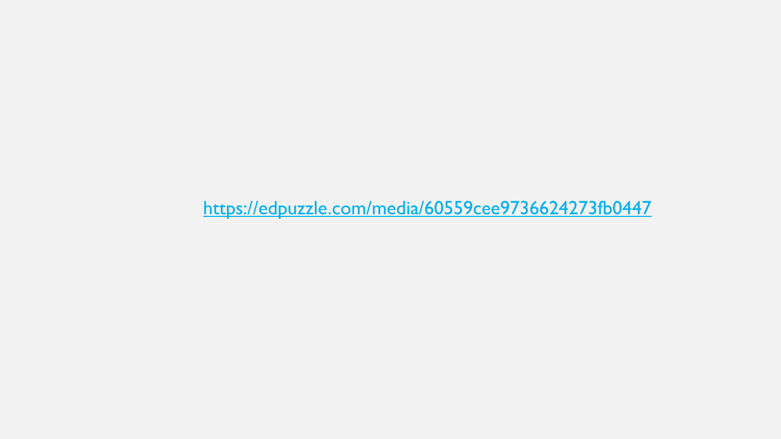<https://edpuzzle.com/media/60559cee9736624273fb0447>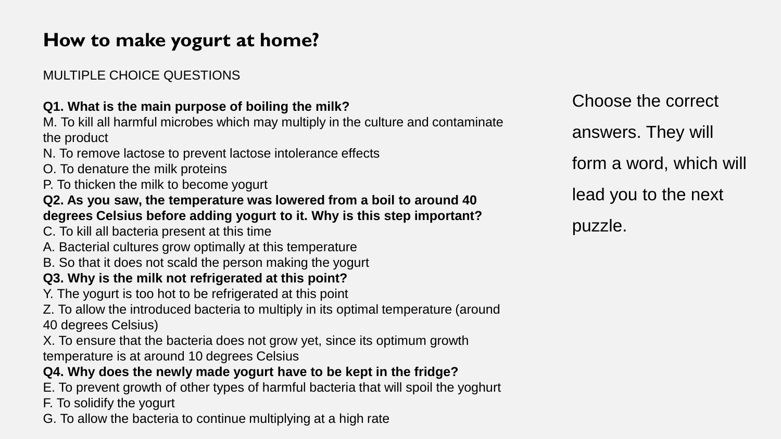# **How to make yogurt at home?**

### MULTIPLE CHOICE QUESTIONS

### **Q1. What is the main purpose of boiling the milk?**

M. To kill all harmful microbes which may multiply in the culture and contaminate the product

- N. To remove lactose to prevent lactose intolerance effects
- O. To denature the milk proteins
- P. To thicken the milk to become yogurt

#### **Q2. As you saw, the temperature was lowered from a boil to around 40 degrees Celsius before adding yogurt to it. Why is this step important?**

- C. To kill all bacteria present at this time
- A. Bacterial cultures grow optimally at this temperature
- B. So that it does not scald the person making the yogurt

### **Q3. Why is the milk not refrigerated at this point?**

Y. The yogurt is too hot to be refrigerated at this point

Z. To allow the introduced bacteria to multiply in its optimal temperature (around 40 degrees Celsius)

X. To ensure that the bacteria does not grow yet, since its optimum growth temperature is at around 10 degrees Celsius

### **Q4. Why does the newly made yogurt have to be kept in the fridge?**

- E. To prevent growth of other types of harmful bacteria that will spoil the yoghurt
- F. To solidify the yogurt
- G. To allow the bacteria to continue multiplying at a high rate

Choose the correct answers. They will form a word, which will lead you to the next puzzle.